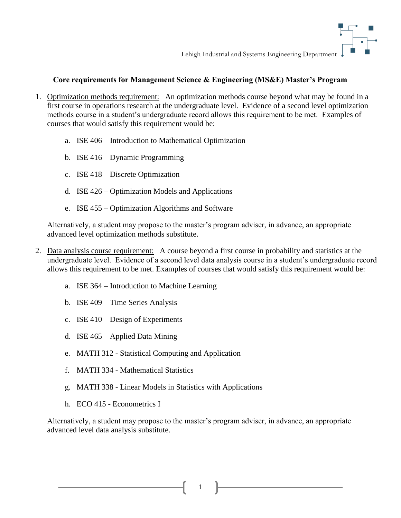

Lehigh Industrial and Systems Engineering Department

## **Core requirements for Management Science & Engineering (MS&E) Master's Program**

- 1. Optimization methods requirement: An optimization methods course beyond what may be found in a first course in operations research at the undergraduate level. Evidence of a second level optimization methods course in a student's undergraduate record allows this requirement to be met. Examples of courses that would satisfy this requirement would be:
	- a. ISE 406 Introduction to Mathematical Optimization
	- b. ISE 416 Dynamic Programming
	- c. ISE 418 Discrete Optimization
	- d. ISE 426 Optimization Models and Applications
	- e. ISE 455 Optimization Algorithms and Software

Alternatively, a student may propose to the master's program adviser, in advance, an appropriate advanced level optimization methods substitute.

- 2. Data analysis course requirement: A course beyond a first course in probability and statistics at the undergraduate level. Evidence of a second level data analysis course in a student's undergraduate record allows this requirement to be met. Examples of courses that would satisfy this requirement would be:
	- a. ISE 364 Introduction to Machine Learning
	- b. ISE 409 Time Series Analysis
	- c. ISE 410 Design of Experiments
	- d. ISE 465 Applied Data Mining
	- e. MATH 312 Statistical Computing and Application
	- f. MATH 334 Mathematical Statistics
	- g. MATH 338 Linear Models in Statistics with Applications
	- h. ECO 415 Econometrics I

Alternatively, a student may propose to the master's program adviser, in advance, an appropriate advanced level data analysis substitute.

1